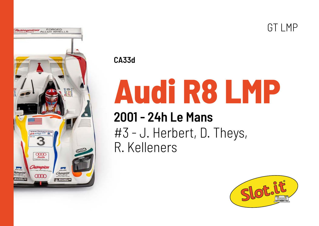GT LMP



**CA33d**

## **Audi R8 LMP 2001 - 24h Le Mans** #3 - J. Herbert, D. Theys, R. Kelleners

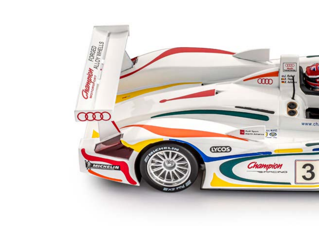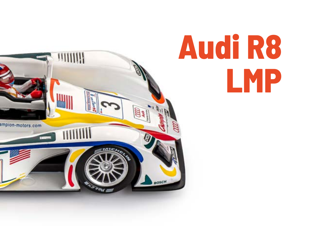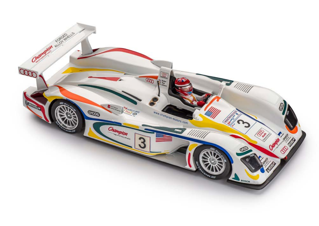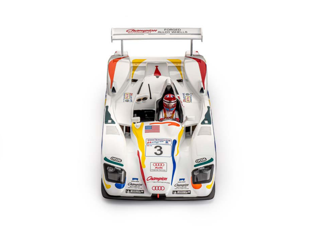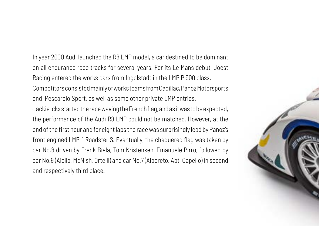In year 2000 Audi launched the R8 LMP model, a car destined to be dominant on all endurance race tracks for several years. For its Le Mans debut, Joest Racing entered the works cars from Ingolstadt in the LMP P 900 class. Competitors consisted mainly of works teams from Cadillac, Panoz Motorsports and Pescarolo Sport, as well as some other private LMP entries. Jackie Ickx started the race waving the French flag, and as it was to be expected, the performance of the Audi R8 LMP could not be matched. However, at the end of the first hour and for eight laps the race was surprisingly lead by Panoz's front engined LMP-1 Roadster S. Eventually, the chequered flag was taken by car No.8 driven by Frank Biela, Tom Kristensen, Emanuele Pirro, followed by car No.9 (Aiello, McNish, Ortelli) and car No.7 (Alboreto, Abt, Capello) in second and respectively third place.

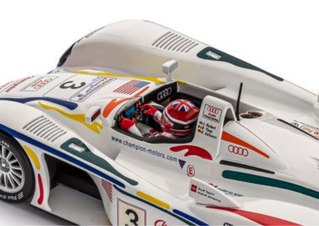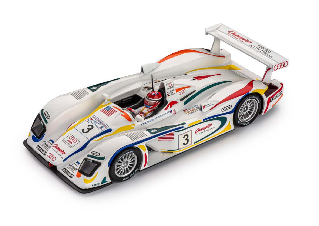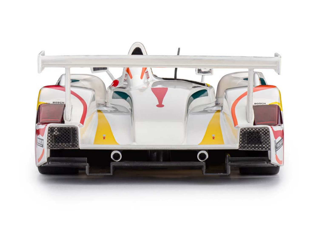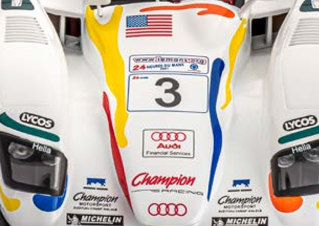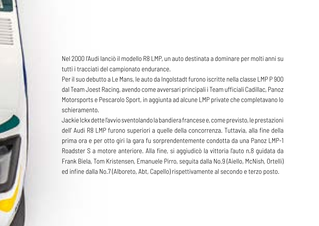Nel 2000 l'Audi lanciò il modello R8 LMP, un auto destinata a dominare per molti anni su tutti i tracciati del campionato endurance.

Per il suo debutto a Le Mans, le auto da Ingolstadt furono iscritte nella classe LMP P 900 dal Team Joest Racing, avendo come avversari principali i Team ufficiali Cadillac, Panoz Motorsports e Pescarolo Sport, in aggiunta ad alcune LMP private che completavano lo schieramento.

Jackie Ickx dette l'avvio sventolando la bandiera francese e, come previsto, le prestazioni dell' Audi R8 LMP furono superiori a quelle della concorrenza. Tuttavia, alla fine della prima ora e per otto giri la gara fu sorprendentemente condotta da una Panoz LMP-1 Roadster S a motore anteriore. Alla fine, si aggiudicò la vittoria l'auto n.8 guidata da Frank Biela, Tom Kristensen, Emanuele Pirro, seguita dalla No.9 (Aiello, McNish, Ortelli) ed infine dalla No.7 (Alboreto, Abt, Capello) rispettivamente al secondo e terzo posto.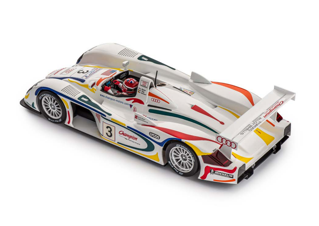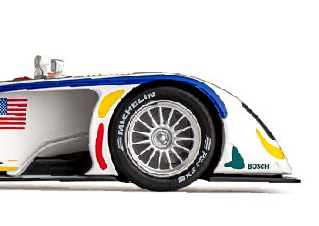